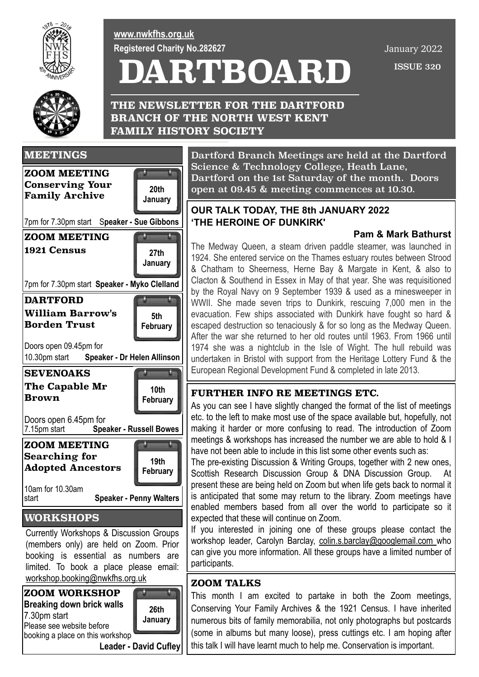

**[www.nwkfhs.org.uk](http://www.nwkfhs.org.uk) Registered Charity No.282627**

**FAMILY HISTORY SOCIETY**

# **DARTBOARD**

**THE NEWSLETTER FOR THE DARTFORD BRANCH OF THE NORTH WEST KENT** 

 ISSUE 320 January 2022





booking a place on this workshop

**Leader - David Cufley**

Dartford Branch Meetings are held at the Dartford Science & Technology College, Heath Lane, Dartford on the 1st Saturday of the month. Doors open at 09.45 & meeting commences at 10.30.

### **OUR TALK TODAY, THE 8th JANUARY 2022 'THE HEROINE OF DUNKIRK'**

#### **Pam & Mark Bathurst**

The Medway Queen, a steam driven paddle steamer, was launched in 1924. She entered service on the Thames estuary routes between [Strood](https://en.wikipedia.org/wiki/Strood) & [Chatham](https://en.wikipedia.org/wiki/Chatham,_Kent) to [Sheerness](https://en.wikipedia.org/wiki/Sheerness), [Herne Bay](https://en.wikipedia.org/wiki/Herne_Bay,_Kent) & [Margate](https://en.wikipedia.org/wiki/Margate) in Kent, & also to [Clacton](https://en.wikipedia.org/wiki/Clacton) & [Southend](https://en.wikipedia.org/wiki/Southend) in [Essex](https://en.wikipedia.org/wiki/Essex) in May of that year. She was requisitioned by the [Royal Navy](https://en.wikipedia.org/wiki/Royal_Navy) on 9 September 1939 & used as a minesweeper in WWII. She made seven trips to Dunkirk, rescuing 7,000 men in the evacuation. Few ships associated with Dunkirk have fought so hard & escaped destruction so tenaciously & for so long as the Medway Queen. After the war she returned to her old routes until 1963. From 1966 until 1974 she was a nightclub in the Isle of Wight. The hull rebuild was undertaken in Bristol with support from the Heritage Lottery Fund & the European Regional Development Fund & completed in late 2013.

### **FURTHER INFO RE MEETINGS ETC.**

As you can see I have slightly changed the format of the list of meetings etc. to the left to make most use of the space available but, hopefully, not making it harder or more confusing to read. The introduction of Zoom meetings & workshops has increased the number we are able to hold & I have not been able to include in this list some other events such as:

The pre-existing Discussion & Writing Groups, together with 2 new ones, Scottish Research Discussion Group & DNA Discussion Group. At present these are being held on Zoom but when life gets back to normal it is anticipated that some may return to the library. Zoom meetings have enabled members based from all over the world to participate so it expected that these will continue on Zoom.

If you interested in joining one of these groups please contact the workshop leader, Carolyn Barclay, [colin.s.barclay@googlemail.com](mailto:colin.s.barclay@googlemail.com) who can give you more information. All these groups have a limited number of participants.

### **ZOOM TALKS**

This month I am excited to partake in both the Zoom meetings, Conserving Your Family Archives & the 1921 Census. I have inherited numerous bits of family memorabilia, not only photographs but postcards (some in albums but many loose), press cuttings etc. I am hoping after this talk I will have learnt much to help me. Conservation is important.